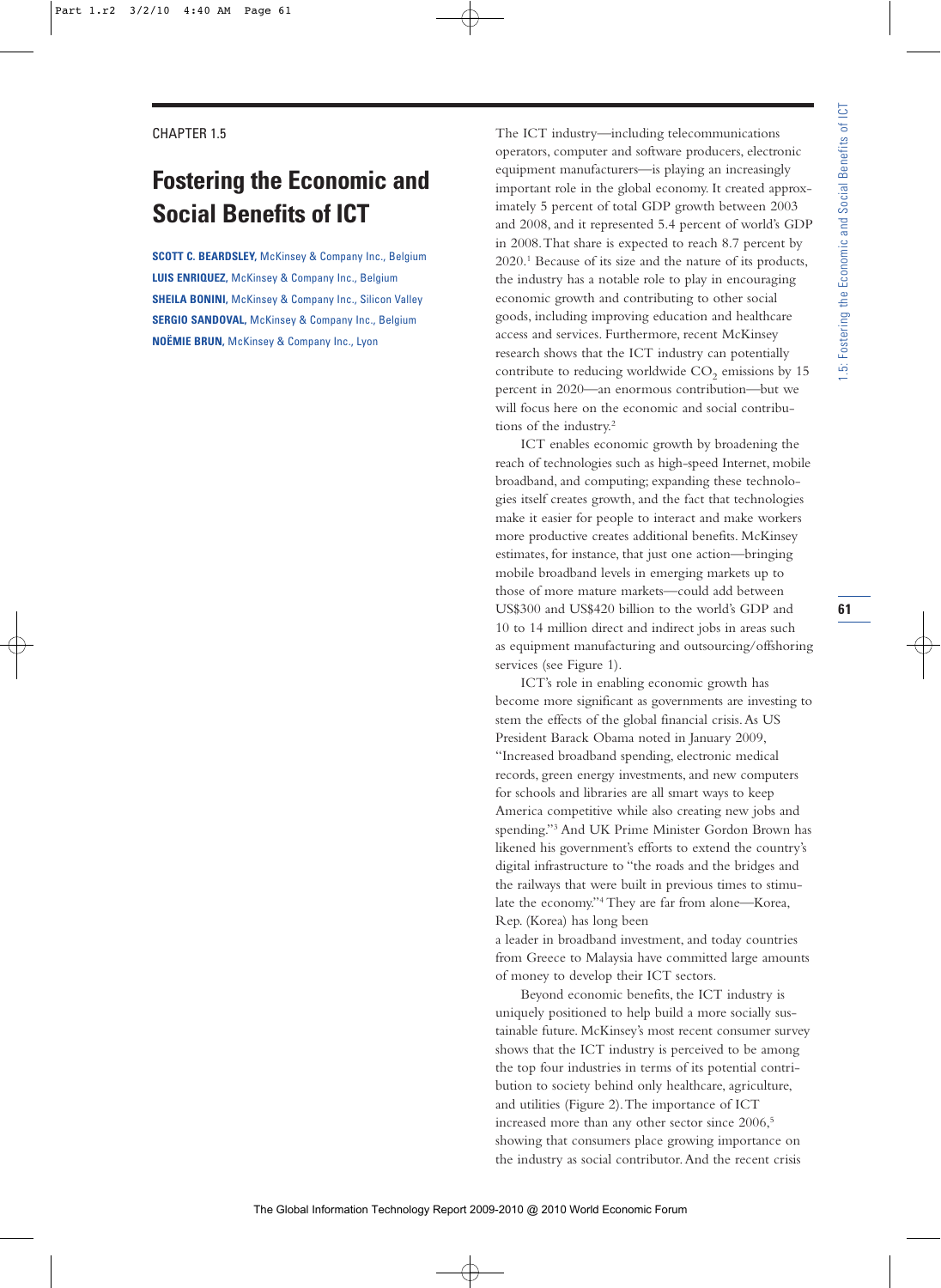CHAPTER 1.5

# **Fostering the Economic and Social Benefits of ICT**

**SCOTT C. BEARDSLEY,** McKinsey & Company Inc., Belgium **LUIS ENRIQUEZ,** McKinsey & Company Inc., Belgium **SHEILA BONINI,** McKinsey & Company Inc., Silicon Valley **SERGIO SANDOVAL,** McKinsey & Company Inc., Belgium **NOËMIE BRUN,** McKinsey & Company Inc., Lyon

The ICT industry—including telecommunications operators, computer and software producers, electronic equipment manufacturers—is playing an increasingly important role in the global economy. It created approximately 5 percent of total GDP growth between 2003 and 2008, and it represented 5.4 percent of world's GDP in 2008.That share is expected to reach 8.7 percent by 2020.1 Because of its size and the nature of its products, the industry has a notable role to play in encouraging economic growth and contributing to other social goods, including improving education and healthcare access and services. Furthermore, recent McKinsey research shows that the ICT industry can potentially contribute to reducing worldwide  $CO<sub>2</sub>$  emissions by 15 percent in 2020—an enormous contribution—but we will focus here on the economic and social contributions of the industry.2

ICT enables economic growth by broadening the reach of technologies such as high-speed Internet, mobile broadband, and computing; expanding these technologies itself creates growth, and the fact that technologies make it easier for people to interact and make workers more productive creates additional benefits. McKinsey estimates, for instance, that just one action—bringing mobile broadband levels in emerging markets up to those of more mature markets—could add between US\$300 and US\$420 billion to the world's GDP and 10 to 14 million direct and indirect jobs in areas such as equipment manufacturing and outsourcing/offshoring services (see Figure 1).

ICT's role in enabling economic growth has become more significant as governments are investing to stem the effects of the global financial crisis.As US President Barack Obama noted in January 2009, "Increased broadband spending, electronic medical records, green energy investments, and new computers for schools and libraries are all smart ways to keep America competitive while also creating new jobs and spending."3 And UK Prime Minister Gordon Brown has likened his government's efforts to extend the country's digital infrastructure to "the roads and the bridges and the railways that were built in previous times to stimulate the economy."4 They are far from alone—Korea, Rep. (Korea) has long been

a leader in broadband investment, and today countries from Greece to Malaysia have committed large amounts of money to develop their ICT sectors.

Beyond economic benefits, the ICT industry is uniquely positioned to help build a more socially sustainable future. McKinsey's most recent consumer survey shows that the ICT industry is perceived to be among the top four industries in terms of its potential contribution to society behind only healthcare, agriculture, and utilities (Figure 2).The importance of ICT increased more than any other sector since 2006,<sup>5</sup> showing that consumers place growing importance on the industry as social contributor.And the recent crisis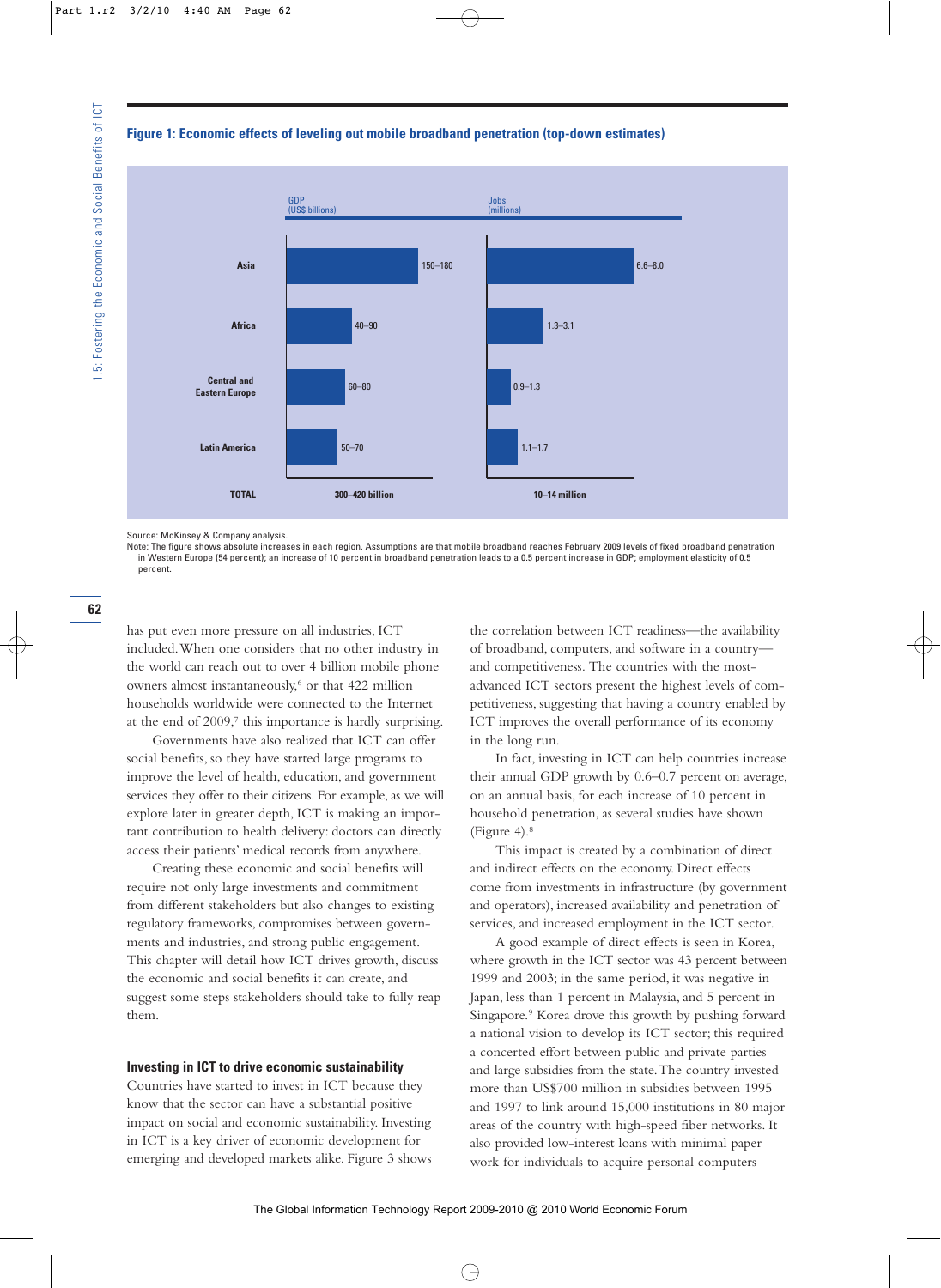# **Figure 1: Economic effects of leveling out mobile broadband penetration (top-down estimates)**



Source: McKinsey & Company analysis.

Note: The figure shows absolute increases in each region. Assumptions are that mobile broadband reaches February 2009 levels of fixed broadband penetration in Western Europe (54 percent); an increase of 10 percent in broadband penetration leads to a 0.5 percent increase in GDP; employment elasticity of 0.5 percent.

5: Fostering the Economic and Social Benefits of ICT

has put even more pressure on all industries, ICT included.When one considers that no other industry in the world can reach out to over 4 billion mobile phone owners almost instantaneously,<sup>6</sup> or that 422 million households worldwide were connected to the Internet at the end of 2009,<sup>7</sup> this importance is hardly surprising.

Governments have also realized that ICT can offer social benefits, so they have started large programs to improve the level of health, education, and government services they offer to their citizens. For example, as we will explore later in greater depth, ICT is making an important contribution to health delivery: doctors can directly access their patients' medical records from anywhere.

Creating these economic and social benefits will require not only large investments and commitment from different stakeholders but also changes to existing regulatory frameworks, compromises between governments and industries, and strong public engagement. This chapter will detail how ICT drives growth, discuss the economic and social benefits it can create, and suggest some steps stakeholders should take to fully reap them.

### **Investing in ICT to drive economic sustainability**

Countries have started to invest in ICT because they know that the sector can have a substantial positive impact on social and economic sustainability. Investing in ICT is a key driver of economic development for emerging and developed markets alike. Figure 3 shows

the correlation between ICT readiness—the availability of broadband, computers, and software in a country and competitiveness*.* The countries with the mostadvanced ICT sectors present the highest levels of competitiveness, suggesting that having a country enabled by ICT improves the overall performance of its economy in the long run.

In fact, investing in ICT can help countries increase their annual GDP growth by 0.6–0.7 percent on average, on an annual basis, for each increase of 10 percent in household penetration, as several studies have shown (Figure 4). $8$ 

This impact is created by a combination of direct and indirect effects on the economy. Direct effects come from investments in infrastructure (by government and operators), increased availability and penetration of services, and increased employment in the ICT sector.

A good example of direct effects is seen in Korea, where growth in the ICT sector was 43 percent between 1999 and 2003; in the same period, it was negative in Japan, less than 1 percent in Malaysia, and 5 percent in Singapore.9 Korea drove this growth by pushing forward a national vision to develop its ICT sector; this required a concerted effort between public and private parties and large subsidies from the state.The country invested more than US\$700 million in subsidies between 1995 and 1997 to link around 15,000 institutions in 80 major areas of the country with high-speed fiber networks. It also provided low-interest loans with minimal paper work for individuals to acquire personal computers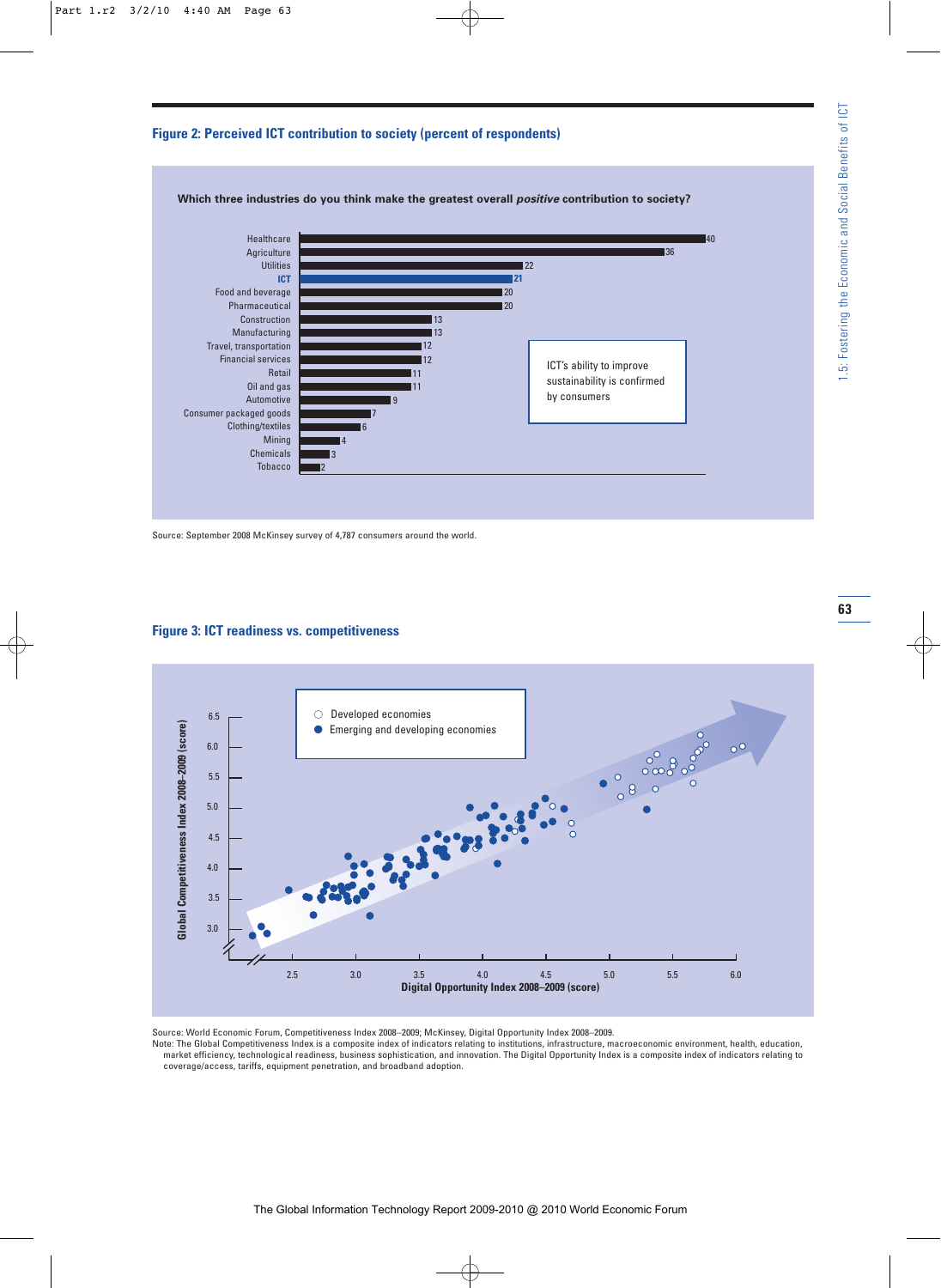





Source: September 2008 McKinsey survey of 4,787 consumers around the world.





Source: World Economic Forum, Competitiveness Index 2008–2009; McKinsey, Digital Opportunity Index 2008–2009.

Note: The Global Competitiveness Index is a composite index of indicators relating to institutions, infrastructure, macroeconomic environment, health, education, market efficiency, technological readiness, business sophistication, and innovation. The Digital Opportunity Index is a composite index of indicators relating to coverage/access, tariffs, equipment penetration, and broadband adoption.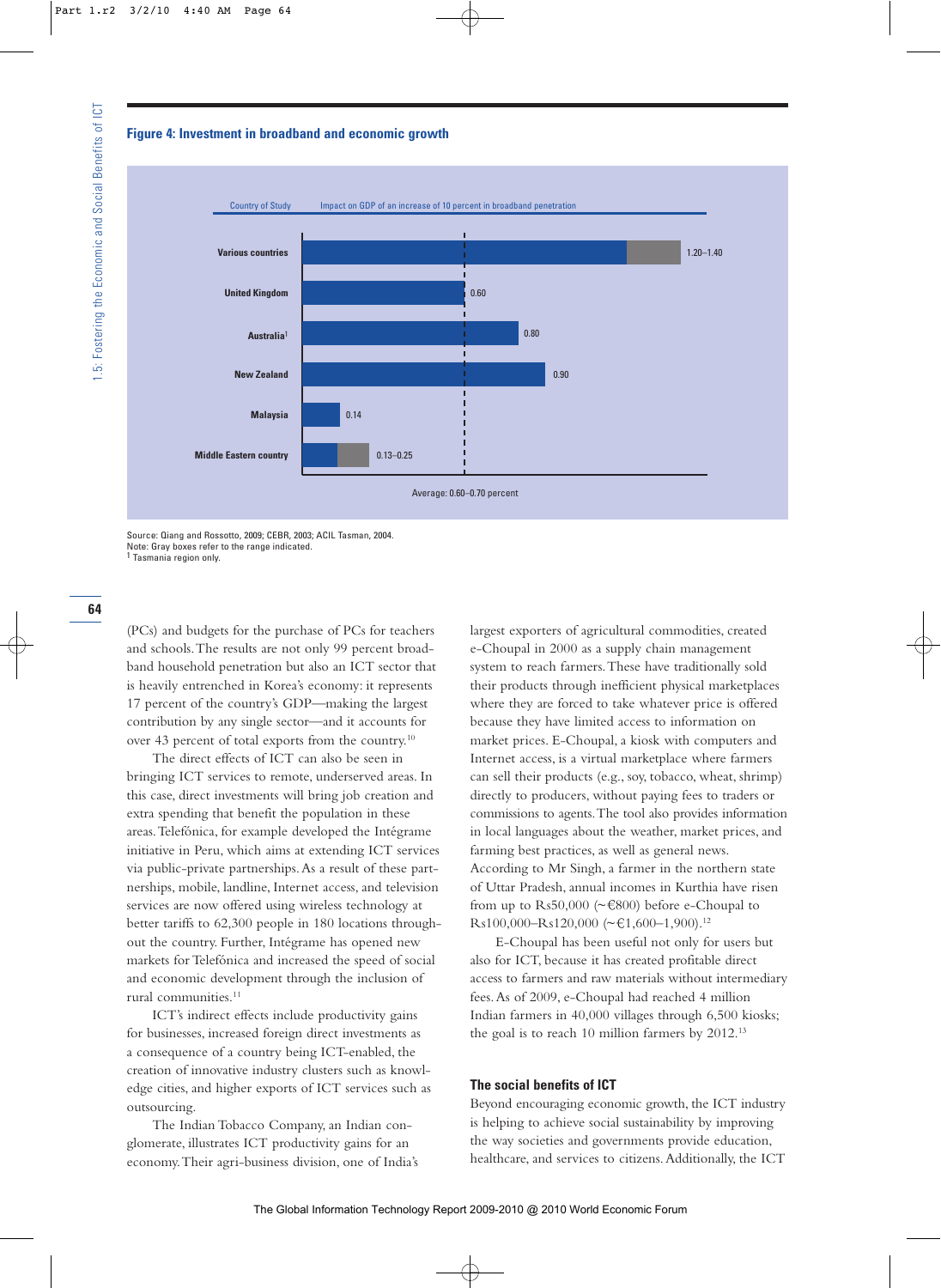## **Figure 4: Investment in broadband and economic growth**



Source: Qiang and Rossotto, 2009; CEBR, 2003; ACIL Tasman, 2004. Note: Gray boxes refer to the range indicated.

1 Tasmania region only.

(PCs) and budgets for the purchase of PCs for teachers and schools.The results are not only 99 percent broadband household penetration but also an ICT sector that is heavily entrenched in Korea's economy: it represents 17 percent of the country's GDP—making the largest contribution by any single sector—and it accounts for over 43 percent of total exports from the country.10

The direct effects of ICT can also be seen in bringing ICT services to remote, underserved areas. In this case, direct investments will bring job creation and extra spending that benefit the population in these areas.Telefónica, for example developed the Intégrame initiative in Peru, which aims at extending ICT services via public-private partnerships.As a result of these partnerships, mobile, landline, Internet access, and television services are now offered using wireless technology at better tariffs to 62,300 people in 180 locations throughout the country. Further, Intégrame has opened new markets for Telefónica and increased the speed of social and economic development through the inclusion of rural communities.11

ICT's indirect effects include productivity gains for businesses, increased foreign direct investments as a consequence of a country being ICT-enabled, the creation of innovative industry clusters such as knowledge cities, and higher exports of ICT services such as outsourcing.

The Indian Tobacco Company, an Indian conglomerate, illustrates ICT productivity gains for an economy.Their agri-business division, one of India's largest exporters of agricultural commodities, created e-Choupal in 2000 as a supply chain management system to reach farmers.These have traditionally sold their products through inefficient physical marketplaces where they are forced to take whatever price is offered because they have limited access to information on market prices. E-Choupal, a kiosk with computers and Internet access, is a virtual marketplace where farmers can sell their products (e.g., soy, tobacco, wheat, shrimp) directly to producers, without paying fees to traders or commissions to agents.The tool also provides information in local languages about the weather, market prices, and farming best practices, as well as general news. According to Mr Singh, a farmer in the northern state of Uttar Pradesh, annual incomes in Kurthia have risen from up to Rs50,000 ( $\sim \text{\textsterling}800$ ) before e-Choupal to  $Rs100,000-Rs120,000 \approx \text{\textsterling}1,600-1,900$ .<sup>12</sup>

E-Choupal has been useful not only for users but also for ICT, because it has created profitable direct access to farmers and raw materials without intermediary fees.As of 2009, e-Choupal had reached 4 million Indian farmers in 40,000 villages through 6,500 kiosks; the goal is to reach 10 million farmers by 2012.13

#### **The social benefits of ICT**

Beyond encouraging economic growth, the ICT industry is helping to achieve social sustainability by improving the way societies and governments provide education, healthcare, and services to citizens.Additionally, the ICT

64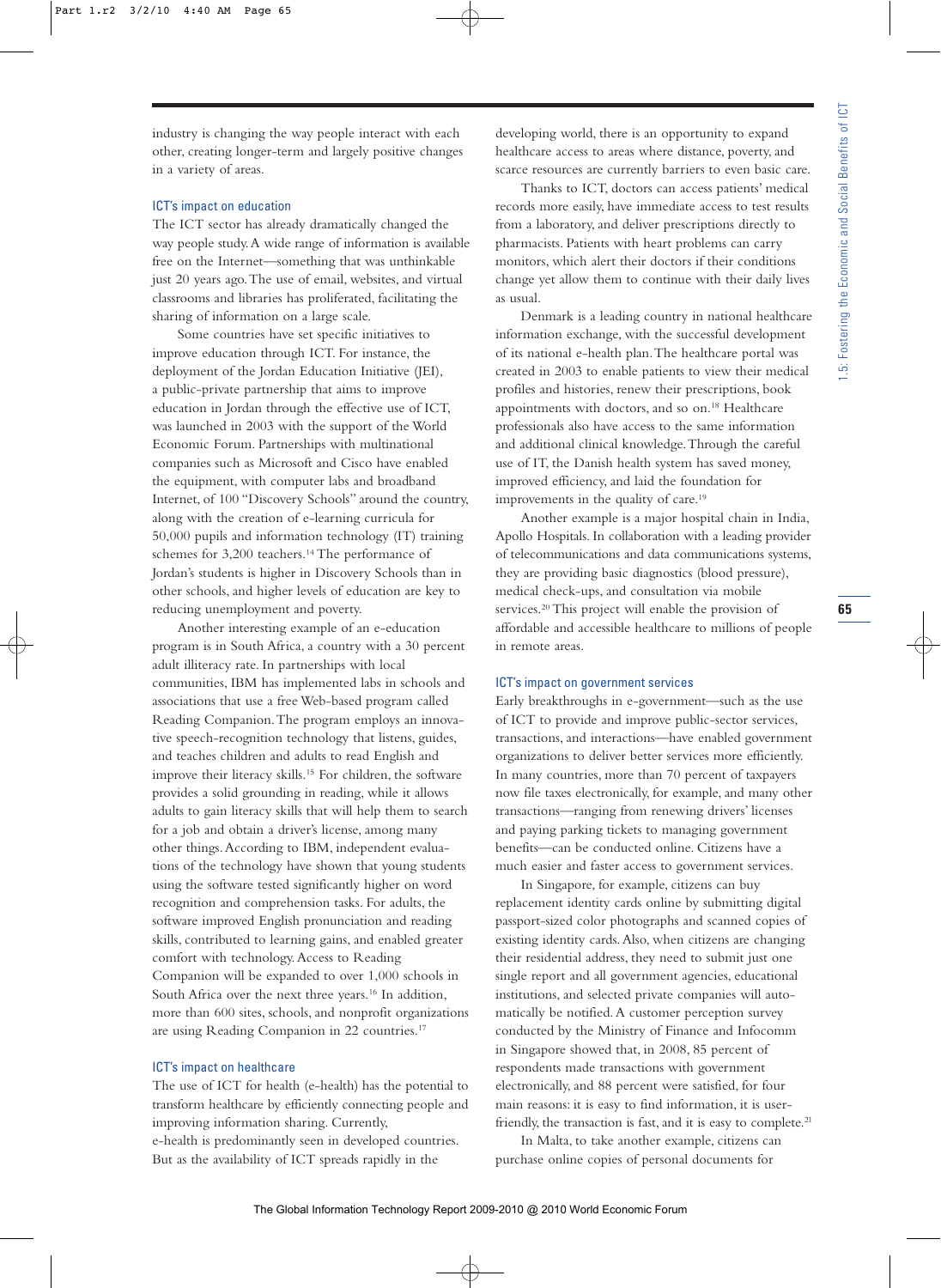industry is changing the way people interact with each other, creating longer-term and largely positive changes in a variety of areas.

## ICT's impact on education

The ICT sector has already dramatically changed the way people study.A wide range of information is available free on the Internet—something that was unthinkable just 20 years ago.The use of email, websites, and virtual classrooms and libraries has proliferated, facilitating the sharing of information on a large scale.

Some countries have set specific initiatives to improve education through ICT. For instance, the deployment of the Jordan Education Initiative (JEI), a public-private partnership that aims to improve education in Jordan through the effective use of ICT, was launched in 2003 with the support of the World Economic Forum. Partnerships with multinational companies such as Microsoft and Cisco have enabled the equipment, with computer labs and broadband Internet, of 100 "Discovery Schools" around the country, along with the creation of e-learning curricula for 50,000 pupils and information technology (IT) training schemes for 3,200 teachers.14 The performance of Jordan's students is higher in Discovery Schools than in other schools, and higher levels of education are key to reducing unemployment and poverty.

Another interesting example of an e-education program is in South Africa, a country with a 30 percent adult illiteracy rate. In partnerships with local communities, IBM has implemented labs in schools and associations that use a free Web-based program called Reading Companion.The program employs an innovative speech-recognition technology that listens, guides, and teaches children and adults to read English and improve their literacy skills.15 For children, the software provides a solid grounding in reading, while it allows adults to gain literacy skills that will help them to search for a job and obtain a driver's license, among many other things.According to IBM, independent evaluations of the technology have shown that young students using the software tested significantly higher on word recognition and comprehension tasks. For adults, the software improved English pronunciation and reading skills, contributed to learning gains, and enabled greater comfort with technology.Access to Reading Companion will be expanded to over 1,000 schools in South Africa over the next three years.<sup>16</sup> In addition, more than 600 sites, schools, and nonprofit organizations are using Reading Companion in 22 countries.17

#### ICT's impact on healthcare

The use of ICT for health (e-health) has the potential to transform healthcare by efficiently connecting people and improving information sharing. Currently, e-health is predominantly seen in developed countries. But as the availability of ICT spreads rapidly in the

developing world, there is an opportunity to expand healthcare access to areas where distance, poverty, and scarce resources are currently barriers to even basic care.

Thanks to ICT, doctors can access patients' medical records more easily, have immediate access to test results from a laboratory, and deliver prescriptions directly to pharmacists. Patients with heart problems can carry monitors, which alert their doctors if their conditions change yet allow them to continue with their daily lives as usual.

Denmark is a leading country in national healthcare information exchange, with the successful development of its national e-health plan.The healthcare portal was created in 2003 to enable patients to view their medical profiles and histories, renew their prescriptions, book appointments with doctors, and so on.<sup>18</sup> Healthcare professionals also have access to the same information and additional clinical knowledge.Through the careful use of IT, the Danish health system has saved money, improved efficiency, and laid the foundation for improvements in the quality of care.<sup>19</sup>

Another example is a major hospital chain in India, Apollo Hospitals. In collaboration with a leading provider of telecommunications and data communications systems, they are providing basic diagnostics (blood pressure), medical check-ups, and consultation via mobile services.<sup>20</sup> This project will enable the provision of affordable and accessible healthcare to millions of people in remote areas.

### ICT's impact on government services

Early breakthroughs in e-government—such as the use of ICT to provide and improve public-sector services, transactions, and interactions—have enabled government organizations to deliver better services more efficiently. In many countries, more than 70 percent of taxpayers now file taxes electronically, for example, and many other transactions—ranging from renewing drivers' licenses and paying parking tickets to managing government benefits—can be conducted online. Citizens have a much easier and faster access to government services.

In Singapore, for example, citizens can buy replacement identity cards online by submitting digital passport-sized color photographs and scanned copies of existing identity cards.Also, when citizens are changing their residential address, they need to submit just one single report and all government agencies, educational institutions, and selected private companies will automatically be notified.A customer perception survey conducted by the Ministry of Finance and Infocomm in Singapore showed that, in 2008, 85 percent of respondents made transactions with government electronically, and 88 percent were satisfied, for four main reasons: it is easy to find information, it is userfriendly, the transaction is fast, and it is easy to complete.<sup>21</sup>

In Malta, to take another example, citizens can purchase online copies of personal documents for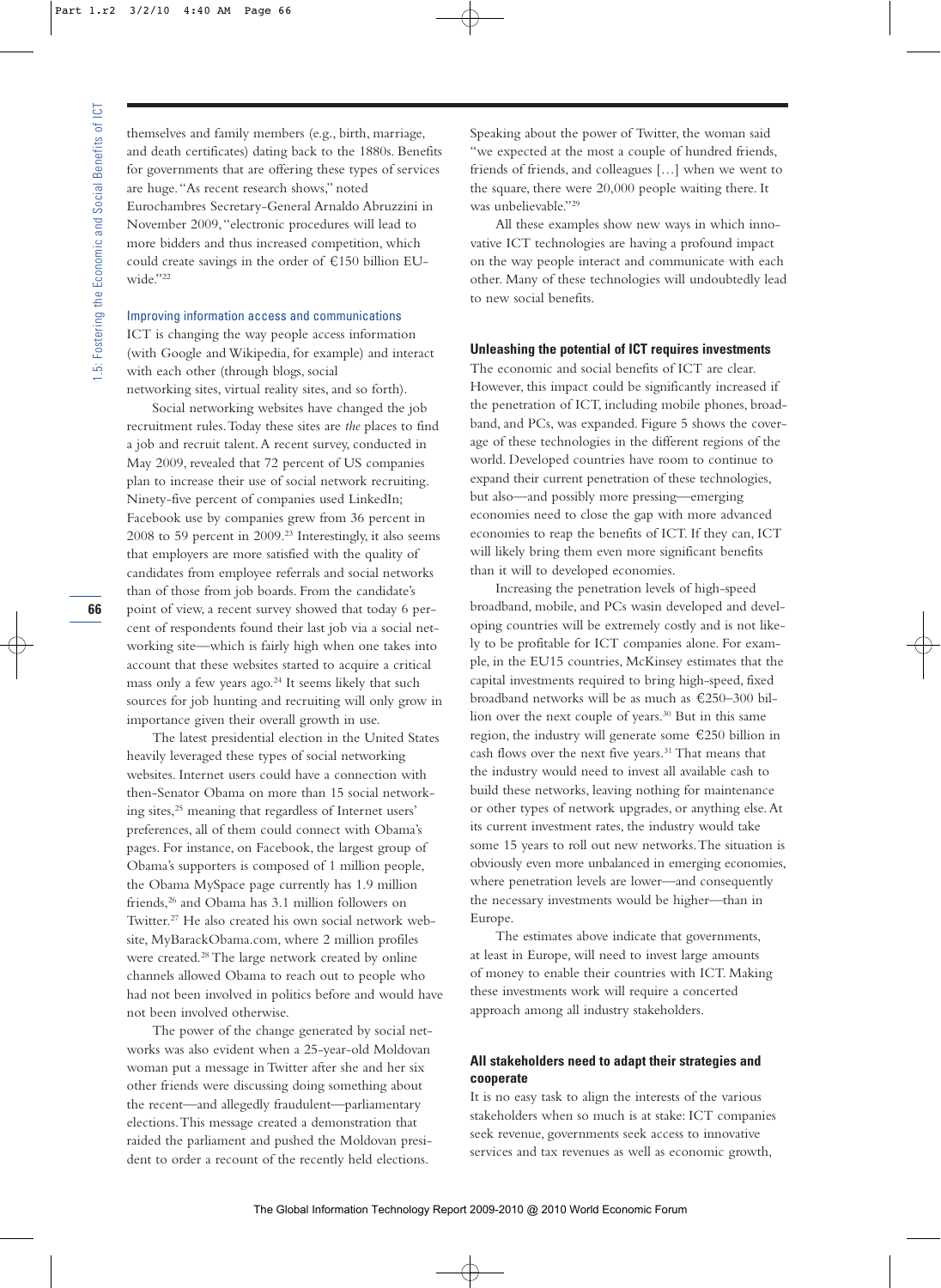themselves and family members (e.g., birth, marriage, and death certificates) dating back to the 1880s. Benefits for governments that are offering these types of services are huge."As recent research shows," noted Eurochambres Secretary-General Arnaldo Abruzzini in November 2009,"electronic procedures will lead to more bidders and thus increased competition, which could create savings in the order of  $£150$  billion EUwide."22

#### Improving information access and communications

ICT is changing the way people access information (with Google and Wikipedia, for example) and interact with each other (through blogs, social

networking sites, virtual reality sites, and so forth). Social networking websites have changed the job recruitment rules.Today these sites are *the* places to find a job and recruit talent.A recent survey, conducted in May 2009, revealed that 72 percent of US companies plan to increase their use of social network recruiting. Ninety-five percent of companies used LinkedIn; Facebook use by companies grew from 36 percent in 2008 to 59 percent in 2009.23 Interestingly, it also seems that employers are more satisfied with the quality of candidates from employee referrals and social networks than of those from job boards. From the candidate's point of view, a recent survey showed that today 6 percent of respondents found their last job via a social networking site—which is fairly high when one takes into account that these websites started to acquire a critical mass only a few years ago.<sup>24</sup> It seems likely that such sources for job hunting and recruiting will only grow in importance given their overall growth in use.

The latest presidential election in the United States heavily leveraged these types of social networking websites. Internet users could have a connection with then-Senator Obama on more than 15 social networking sites,25 meaning that regardless of Internet users' preferences, all of them could connect with Obama's pages. For instance, on Facebook, the largest group of Obama's supporters is composed of 1 million people, the Obama MySpace page currently has 1.9 million friends,26 and Obama has 3.1 million followers on Twitter.27 He also created his own social network website, MyBarackObama.com, where 2 million profiles were created.28 The large network created by online channels allowed Obama to reach out to people who had not been involved in politics before and would have not been involved otherwise.

The power of the change generated by social networks was also evident when a 25-year-old Moldovan woman put a message in Twitter after she and her six other friends were discussing doing something about the recent—and allegedly fraudulent—parliamentary elections.This message created a demonstration that raided the parliament and pushed the Moldovan president to order a recount of the recently held elections.

Speaking about the power of Twitter, the woman said "we expected at the most a couple of hundred friends, friends of friends, and colleagues […] when we went to the square, there were 20,000 people waiting there. It was unbelievable."29

All these examples show new ways in which innovative ICT technologies are having a profound impact on the way people interact and communicate with each other. Many of these technologies will undoubtedly lead to new social benefits.

# **Unleashing the potential of ICT requires investments**

The economic and social benefits of ICT are clear. However, this impact could be significantly increased if the penetration of ICT, including mobile phones, broadband, and PCs, was expanded. Figure 5 shows the coverage of these technologies in the different regions of the world. Developed countries have room to continue to expand their current penetration of these technologies, but also—and possibly more pressing—emerging economies need to close the gap with more advanced economies to reap the benefits of ICT. If they can, ICT will likely bring them even more significant benefits than it will to developed economies.

Increasing the penetration levels of high-speed broadband, mobile, and PCs wasin developed and developing countries will be extremely costly and is not likely to be profitable for ICT companies alone. For example, in the EU15 countries, McKinsey estimates that the capital investments required to bring high-speed, fixed broadband networks will be as much as  $£250-300$  billion over the next couple of years.30 But in this same region, the industry will generate some  $\epsilon$ 250 billion in cash flows over the next five years.31 That means that the industry would need to invest all available cash to build these networks, leaving nothing for maintenance or other types of network upgrades, or anything else.At its current investment rates, the industry would take some 15 years to roll out new networks.The situation is obviously even more unbalanced in emerging economies, where penetration levels are lower—and consequently the necessary investments would be higher—than in Europe.

The estimates above indicate that governments, at least in Europe, will need to invest large amounts of money to enable their countries with ICT. Making these investments work will require a concerted approach among all industry stakeholders.

# **All stakeholders need to adapt their strategies and cooperate**

It is no easy task to align the interests of the various stakeholders when so much is at stake: ICT companies seek revenue, governments seek access to innovative services and tax revenues as well as economic growth,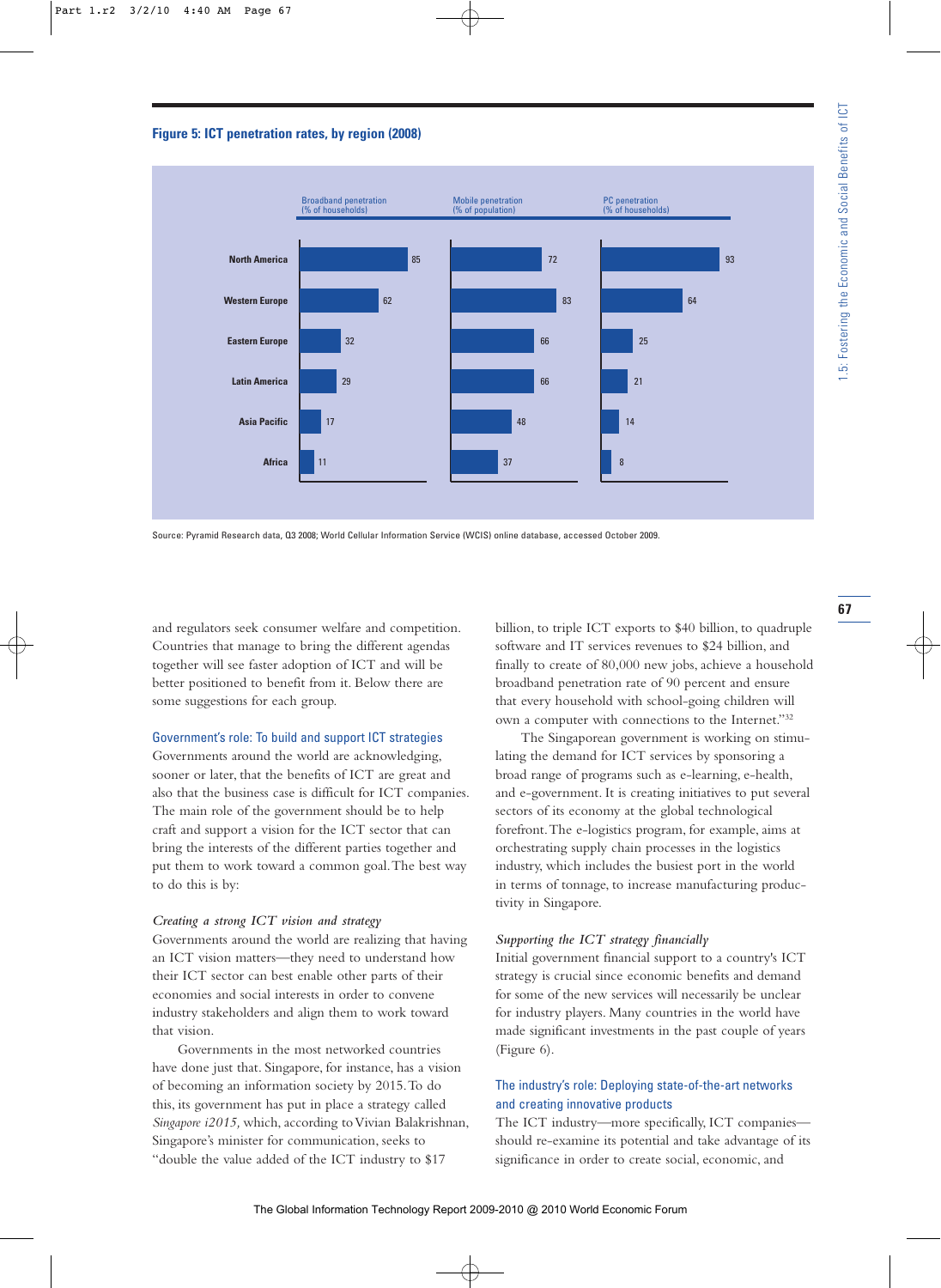



Source: Pyramid Research data, Q3 2008; World Cellular Information Service (WCIS) online database, accessed October 2009.

and regulators seek consumer welfare and competition. Countries that manage to bring the different agendas together will see faster adoption of ICT and will be better positioned to benefit from it. Below there are some suggestions for each group.

## Government's role: To build and support ICT strategies

Governments around the world are acknowledging, sooner or later, that the benefits of ICT are great and also that the business case is difficult for ICT companies. The main role of the government should be to help craft and support a vision for the ICT sector that can bring the interests of the different parties together and put them to work toward a common goal.The best way to do this is by:

## *Creating a strong ICT vision and strategy*

Governments around the world are realizing that having an ICT vision matters—they need to understand how their ICT sector can best enable other parts of their economies and social interests in order to convene industry stakeholders and align them to work toward that vision.

Governments in the most networked countries have done just that. Singapore, for instance, has a vision of becoming an information society by 2015.To do this, its government has put in place a strategy called *Singapore i2015,* which, according to Vivian Balakrishnan, Singapore's minister for communication, seeks to "double the value added of the ICT industry to \$17

billion, to triple ICT exports to \$40 billion, to quadruple software and IT services revenues to \$24 billion, and finally to create of 80,000 new jobs, achieve a household broadband penetration rate of 90 percent and ensure that every household with school-going children will own a computer with connections to the Internet."32

The Singaporean government is working on stimulating the demand for ICT services by sponsoring a broad range of programs such as e-learning, e-health, and e-government. It is creating initiatives to put several sectors of its economy at the global technological forefront.The e-logistics program, for example, aims at orchestrating supply chain processes in the logistics industry, which includes the busiest port in the world in terms of tonnage, to increase manufacturing productivity in Singapore.

# *Supporting the ICT strategy financially*

Initial government financial support to a country's ICT strategy is crucial since economic benefits and demand for some of the new services will necessarily be unclear for industry players. Many countries in the world have made significant investments in the past couple of years (Figure 6).

# The industry's role: Deploying state-of-the-art networks and creating innovative products

The ICT industry—more specifically, ICT companies should re-examine its potential and take advantage of its significance in order to create social, economic, and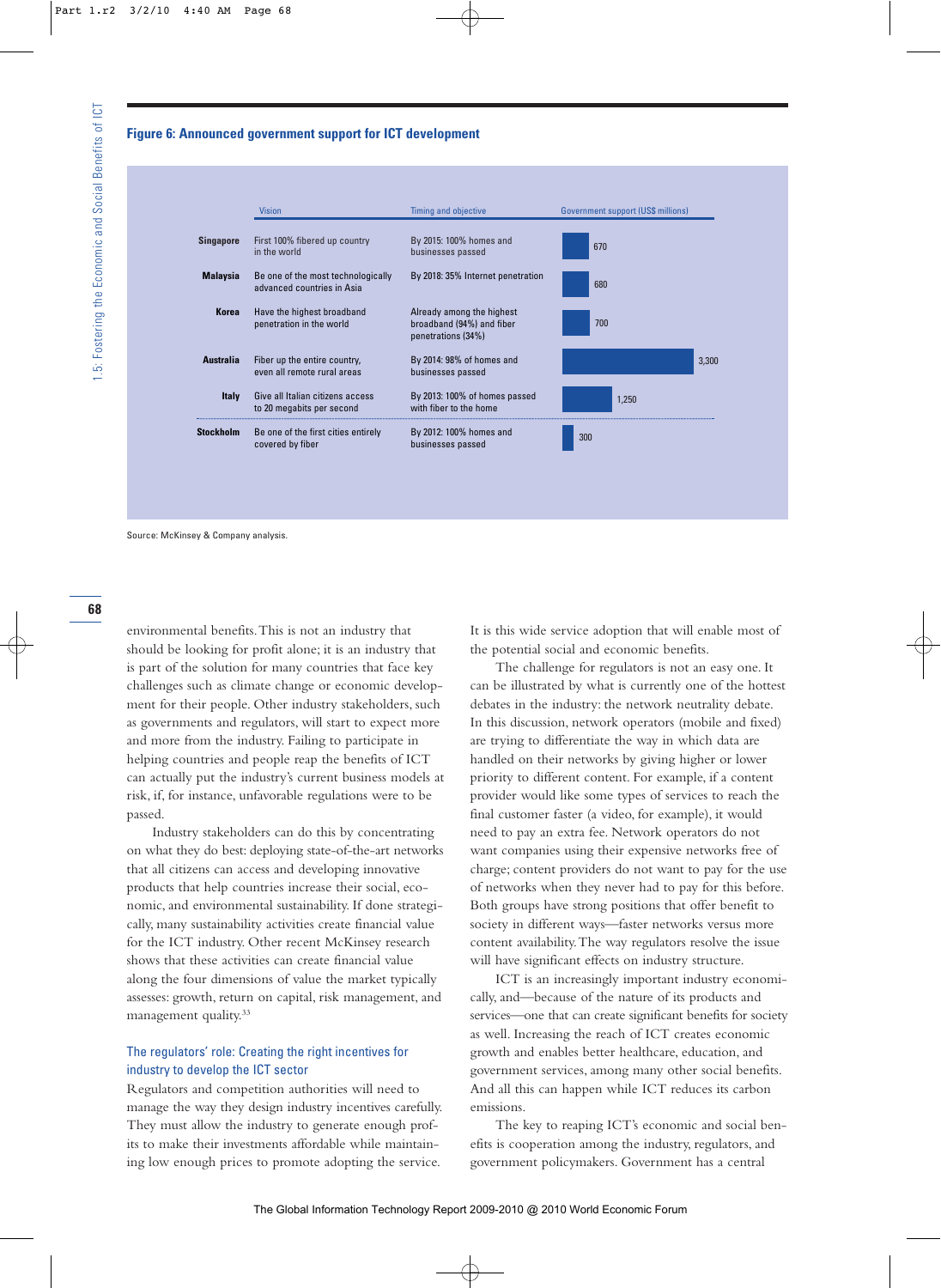## **Figure 6: Announced government support for ICT development**



Source: McKinsey & Company analysis.

68

environmental benefits.This is not an industry that should be looking for profit alone; it is an industry that is part of the solution for many countries that face key challenges such as climate change or economic development for their people. Other industry stakeholders, such as governments and regulators, will start to expect more and more from the industry. Failing to participate in helping countries and people reap the benefits of ICT can actually put the industry's current business models at risk, if, for instance, unfavorable regulations were to be passed.

Industry stakeholders can do this by concentrating on what they do best: deploying state-of-the-art networks that all citizens can access and developing innovative products that help countries increase their social, economic, and environmental sustainability. If done strategically, many sustainability activities create financial value for the ICT industry. Other recent McKinsey research shows that these activities can create financial value along the four dimensions of value the market typically assesses: growth, return on capital, risk management, and management quality.33

# The regulators' role: Creating the right incentives for industry to develop the ICT sector

Regulators and competition authorities will need to manage the way they design industry incentives carefully. They must allow the industry to generate enough profits to make their investments affordable while maintaining low enough prices to promote adopting the service.

It is this wide service adoption that will enable most of the potential social and economic benefits.

The challenge for regulators is not an easy one. It can be illustrated by what is currently one of the hottest debates in the industry: the network neutrality debate. In this discussion, network operators (mobile and fixed) are trying to differentiate the way in which data are handled on their networks by giving higher or lower priority to different content. For example, if a content provider would like some types of services to reach the final customer faster (a video, for example), it would need to pay an extra fee. Network operators do not want companies using their expensive networks free of charge; content providers do not want to pay for the use of networks when they never had to pay for this before. Both groups have strong positions that offer benefit to society in different ways—faster networks versus more content availability.The way regulators resolve the issue will have significant effects on industry structure.

ICT is an increasingly important industry economically, and—because of the nature of its products and services—one that can create significant benefits for society as well. Increasing the reach of ICT creates economic growth and enables better healthcare, education, and government services, among many other social benefits. And all this can happen while ICT reduces its carbon emissions.

The key to reaping ICT's economic and social benefits is cooperation among the industry, regulators, and government policymakers. Government has a central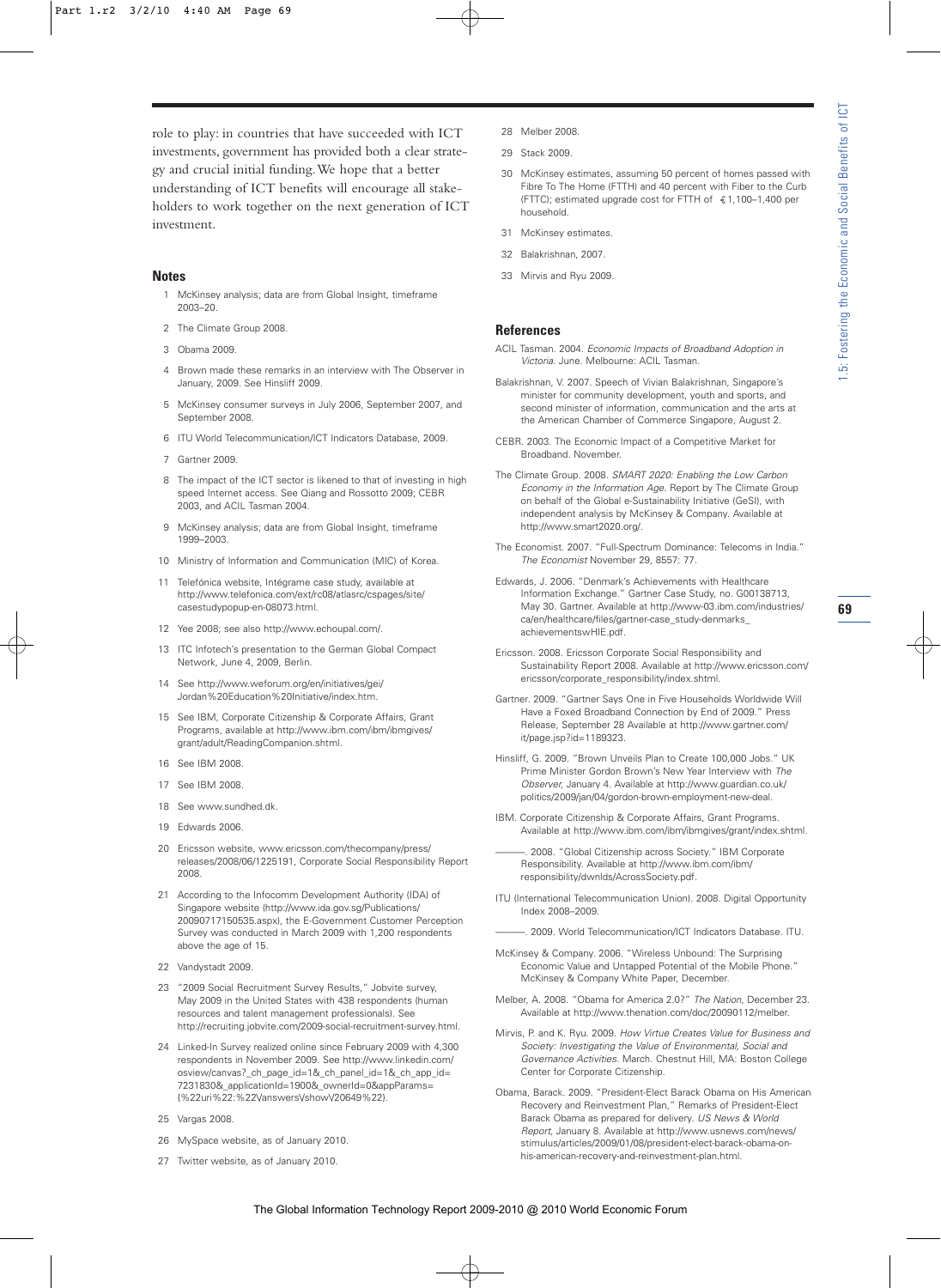role to play: in countries that have succeeded with ICT investments, government has provided both a clear strategy and crucial initial funding.We hope that a better understanding of ICT benefits will encourage all stakeholders to work together on the next generation of ICT investment.

#### **Notes**

- 1 McKinsey analysis; data are from Global Insight, timeframe 2003–20.
- 2 The Climate Group 2008.
- 3 Obama 2009.
- 4 Brown made these remarks in an interview with The Observer in January, 2009. See Hinsliff 2009.
- 5 McKinsey consumer surveys in July 2006, September 2007, and September 2008
- 6 ITU World Telecommunication/ICT Indicators Database, 2009.
- 7 Gartner 2009.
- 8 The impact of the ICT sector is likened to that of investing in high speed Internet access. See Qiang and Rossotto 2009; CEBR 2003, and ACIL Tasman 2004.
- 9 McKinsey analysis; data are from Global Insight, timeframe 1999–2003.
- 10 Ministry of Information and Communication (MIC) of Korea.
- 11 Telefónica website, Intégrame case study, available at http://www.telefonica.com/ext/rc08/atlasrc/cspages/site/ casestudypopup-en-08073.html.
- 12 Yee 2008; see also http://www.echoupal.com/.
- 13 ITC Infotech's presentation to the German Global Compact Network, June 4, 2009, Berlin.
- 14 See http://www.weforum.org/en/initiatives/gei/ Jordan%20Education%20Initiative/index.htm.
- 15 See IBM, Corporate Citizenship & Corporate Affairs, Grant Programs, available at http://www.ibm.com/ibm/ibmgives/ grant/adult/ReadingCompanion.shtml.
- 16 See IBM 2008.
- 17 See IBM 2008.
- 18 See www.sundhed.dk.
- 19 Edwards 2006.
- 20 Ericsson website, www.ericsson.com/thecompany/press/ releases/2008/06/1225191, Corporate Social Responsibility Report 2008.
- 21 According to the Infocomm Development Authority (IDA) of Singapore website (http://www.ida.gov.sg/Publications/ 20090717150535.aspx), the E-Government Customer Perception Survey was conducted in March 2009 with 1,200 respondents above the age of 15.
- 22 Vandystadt 2009.
- 23 "2009 Social Recruitment Survey Results," Jobvite survey, May 2009 in the United States with 438 respondents (human resources and talent management professionals). See http://recruiting.jobvite.com/2009-social-recruitment-survey.html.
- 24 Linked-In Survey realized online since February 2009 with 4,300 respondents in November 2009. See http://www.linkedin.com/ osview/canvas?\_ch\_page\_id=1&\_ch\_panel\_id=1&\_ch\_app\_id= 7231830&\_applicationId=1900&\_ownerId=0&appParams= {%22uri%22:%22\/answers\/show\/20649%22}.
- 25 Vargas 2008.
- 26 MySpace website, as of January 2010.
- 27 Twitter website, as of January 2010.
- 28 Melber 2008.
- 29 Stack 2009.
- 30 McKinsey estimates, assuming 50 percent of homes passed with Fibre To The Home (FTTH) and 40 percent with Fiber to the Curb (FTTC); estimated upgrade cost for FTTH of  $£ 1,100-1,400$  per household.
- 31 McKinsey estimates.
- 32 Balakrishnan, 2007.
- 33 Mirvis and Ryu 2009.

#### **References**

- ACIL Tasman. 2004. Economic Impacts of Broadband Adoption in Victoria. June. Melbourne: ACIL Tasman.
- Balakrishnan, V. 2007. Speech of Vivian Balakrishnan, Singapore's minister for community development, youth and sports, and second minister of information, communication and the arts at the American Chamber of Commerce Singapore, August 2.
- CEBR. 2003. The Economic Impact of a Competitive Market for Broadband. November.
- The Climate Group. 2008. SMART 2020: Enabling the Low Carbon Economy in the Information Age. Report by The Climate Group on behalf of the Global e-Sustainability Initiative (GeSI), with independent analysis by McKinsey & Company. Available at http://www.smart2020.org/.
- The Economist. 2007. "Full-Spectrum Dominance: Telecoms in India." The Economist November 29, 8557: 77.
- Edwards, J. 2006. "Denmark's Achievements with Healthcare Information Exchange." Gartner Case Study, no. G00138713, May 30. Gartner. Available at http://www-03.ibm.com/industries/ ca/en/healthcare/files/gartner-case\_study-denmarks\_ achievementswHIE.pdf.
- Ericsson. 2008. Ericsson Corporate Social Responsibility and Sustainability Report 2008. Available at http://www.ericsson.com/ ericsson/corporate\_responsibility/index.shtml.
- Gartner. 2009. "Gartner Says One in Five Households Worldwide Will Have a Foxed Broadband Connection by End of 2009." Press Release, September 28 Available at http://www.gartner.com/ it/page.jsp?id=1189323.
- Hinsliff, G. 2009. "Brown Unveils Plan to Create 100,000 Jobs." UK Prime Minister Gordon Brown's New Year Interview with The Observer, January 4. Available at http://www.guardian.co.uk/ politics/2009/jan/04/gordon-brown-employment-new-deal.
- IBM. Corporate Citizenship & Corporate Affairs, Grant Programs. Available at http://www.ibm.com/ibm/ibmgives/grant/index.shtml.
- 2008. "Global Citizenship across Society." IBM Corporate Responsibility. Available at http://www.ibm.com/ibm/ responsibility/dwnlds/AcrossSociety.pdf.
- ITU (International Telecommunication Union). 2008. Digital Opportunity Index 2008–2009.
- -. 2009. World Telecommunication/ICT Indicators Database. ITU.
- McKinsey & Company. 2006. "Wireless Unbound: The Surprising Economic Value and Untapped Potential of the Mobile Phone." McKinsey & Company White Paper, December.
- Melber, A. 2008. "Obama for America 2.0?" The Nation, December 23. Available at http://www.thenation.com/doc/20090112/melber.
- Mirvis, P. and K. Ryu. 2009. How Virtue Creates Value for Business and Society: Investigating the Value of Environmental, Social and Governance Activities. March. Chestnut Hill, MA: Boston College Center for Corporate Citizenship.
- Obama, Barack. 2009. "President-Elect Barack Obama on His American Recovery and Reinvestment Plan," Remarks of President-Elect Barack Obama as prepared for delivery. US News & World Report, January 8. Available at http://www.usnews.com/news/ stimulus/articles/2009/01/08/president-elect-barack-obama-onhis-american-recovery-and-reinvestment-plan.html.